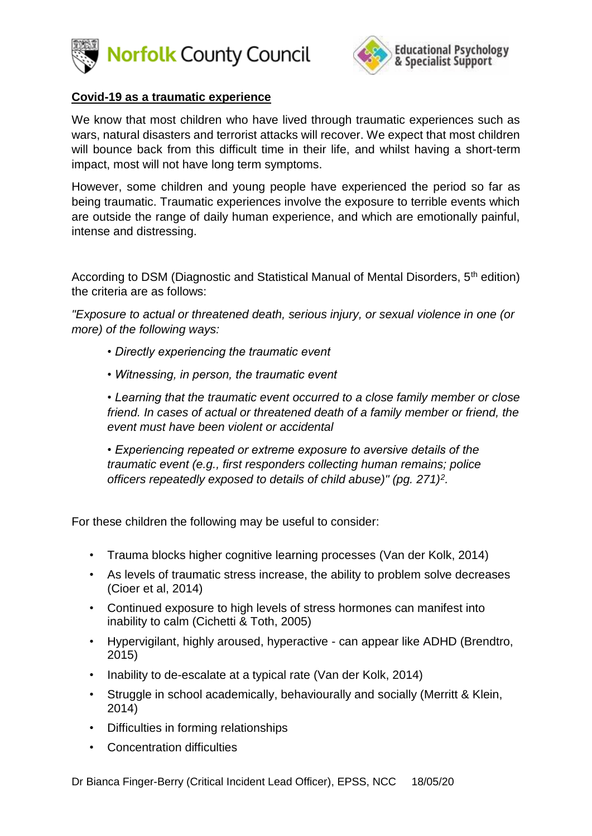



## **Covid-19 as a traumatic experience**

We know that most children who have lived through traumatic experiences such as wars, natural disasters and terrorist attacks will recover. We expect that most children will bounce back from this difficult time in their life, and whilst having a short-term impact, most will not have long term symptoms.

However, some children and young people have experienced the period so far as being traumatic. Traumatic experiences involve the exposure to terrible events which are outside the range of daily human experience, and which are emotionally painful, intense and distressing.

According to DSM (Diagnostic and Statistical Manual of Mental Disorders, 5<sup>th</sup> edition) the criteria are as follows:

*"Exposure to actual or threatened death, serious injury, or sexual violence in one (or more) of the following ways:*

- *Directly experiencing the traumatic event*
- *Witnessing, in person, the traumatic event*

*• Learning that the traumatic event occurred to a close family member or close friend. In cases of actual or threatened death of a family member or friend, the event must have been violent or accidental*

*• Experiencing repeated or extreme exposure to aversive details of the traumatic event (e.g., first responders collecting human remains; police officers repeatedly exposed to details of child abuse)" (pg. 271)<sup>2</sup> .*

For these children the following may be useful to consider:

- Trauma blocks higher cognitive learning processes (Van der Kolk, 2014)
- As levels of traumatic stress increase, the ability to problem solve decreases (Cioer et al, 2014)
- Continued exposure to high levels of stress hormones can manifest into inability to calm (Cichetti & Toth, 2005)
- Hypervigilant, highly aroused, hyperactive can appear like ADHD (Brendtro, 2015)
- Inability to de-escalate at a typical rate (Van der Kolk, 2014)
- Struggle in school academically, behaviourally and socially (Merritt & Klein, 2014)
- Difficulties in forming relationships
- Concentration difficulties

Dr Bianca Finger-Berry (Critical Incident Lead Officer), EPSS, NCC 18/05/20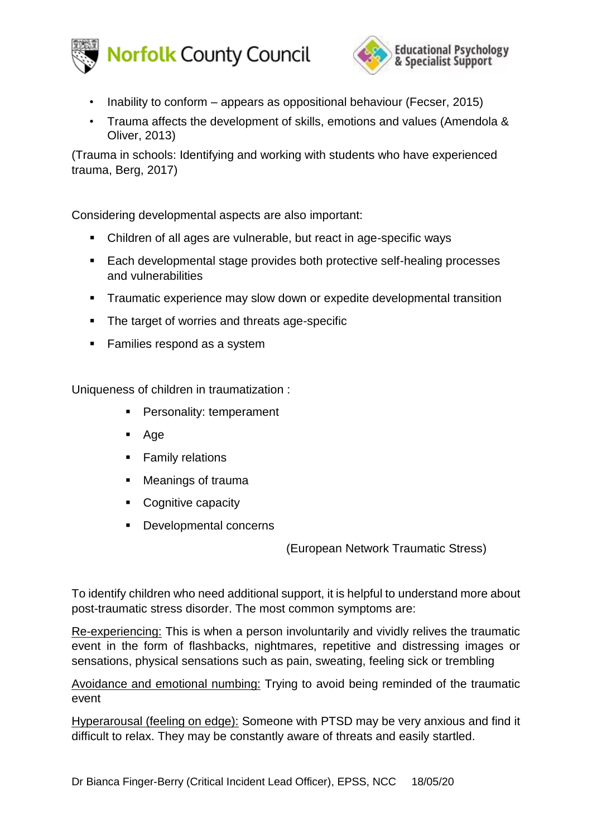



- Inability to conform appears as oppositional behaviour (Fecser, 2015)
- Trauma affects the development of skills, emotions and values (Amendola & Oliver, 2013)

(Trauma in schools: Identifying and working with students who have experienced trauma, Berg, 2017)

Considering developmental aspects are also important:

- Children of all ages are vulnerable, but react in age-specific ways
- Each developmental stage provides both protective self-healing processes and vulnerabilities
- **EXP** Traumatic experience may slow down or expedite developmental transition
- The target of worries and threats age-specific
- Families respond as a system

Uniqueness of children in traumatization :

- **•** Personality: temperament
- . Age
- Family relations
- Meanings of trauma
- Cognitive capacity
- Developmental concerns

(European Network Traumatic Stress)

To identify children who need additional support, it is helpful to understand more about post-traumatic stress disorder. The most common symptoms are:

Re-experiencing: This is when a person involuntarily and vividly relives the traumatic event in the form of flashbacks, nightmares, repetitive and distressing images or sensations, physical sensations such as pain, sweating, feeling sick or trembling

Avoidance and emotional numbing: Trying to avoid being reminded of the traumatic event

Hyperarousal (feeling on edge): Someone with PTSD may be very anxious and find it difficult to relax. They may be constantly aware of threats and easily startled.